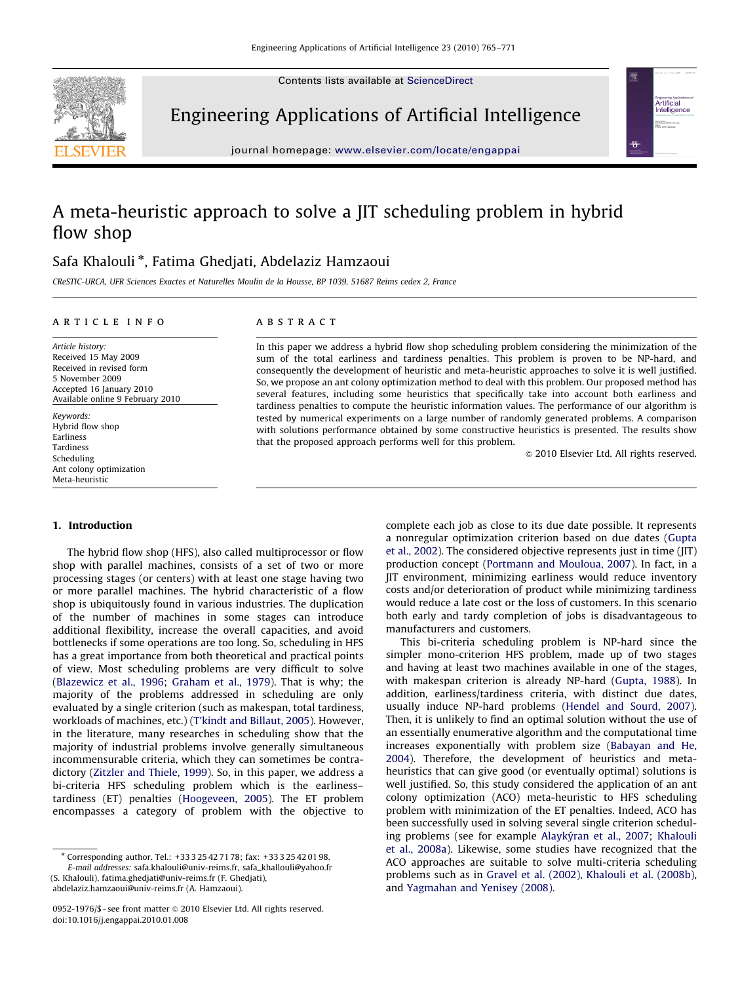Contents lists available at ScienceDirect



Engineering Applications of Artificial Intelligence



journal homepage: <www.elsevier.com/locate/engappai>

# A meta-heuristic approach to solve a JIT scheduling problem in hybrid flow shop

## Safa Khalouli \*, Fatima Ghedjati, Abdelaziz Hamzaoui

CReSTIC-URCA, UFR Sciences Exactes et Naturelles Moulin de la Housse, BP 1039, 51687 Reims cedex 2, France

#### article info

Article history: Received 15 May 2009 Received in revised form 5 November 2009 Accepted 16 January 2010 Available online 9 February 2010

Keywords: Hybrid flow shop Earliness Tardiness Scheduling Ant colony optimization Meta-heuristic

#### 1. Introduction

The hybrid flow shop (HFS), also called multiprocessor or flow shop with parallel machines, consists of a set of two or more processing stages (or centers) with at least one stage having two or more parallel machines. The hybrid characteristic of a flow shop is ubiquitously found in various industries. The duplication of the number of machines in some stages can introduce additional flexibility, increase the overall capacities, and avoid bottlenecks if some operations are too long. So, scheduling in HFS has a great importance from both theoretical and practical points of view. Most scheduling problems are very difficult to solve ([Blazewicz et al., 1996](#page--1-0); [Graham et al., 1979](#page--1-0)). That is why; the majority of the problems addressed in scheduling are only evaluated by a single criterion (such as makespan, total tardiness, workloads of machines, etc.) [\(T'kindt and Billaut, 2005](#page--1-0)). However, in the literature, many researches in scheduling show that the majority of industrial problems involve generally simultaneous incommensurable criteria, which they can sometimes be contradictory ([Zitzler and Thiele, 1999](#page--1-0)). So, in this paper, we address a bi-criteria HFS scheduling problem which is the earliness– tardiness (ET) penalties [\(Hoogeveen, 2005](#page--1-0)). The ET problem encompasses a category of problem with the objective to

- Corresponding author. Tel.: +33 3 25 42 71 78; fax: +33 3 25 42 01 98. E-mail addresses: [safa.khalouli@univ-reims.fr,](mailto:safa.khalouli@univ-reims.fr) [safa\\_khallouli@yahoo.fr](mailto:safa_khallouli@yahoo.fr)

[\(S. Khalouli\)](mailto:safa_khallouli@yahoo.fr), [fatima.ghedjati@univ-reims.fr \(F. Ghedjati\),](mailto:fatima.ghedjati@univ-reims.fr) [abdelaziz.hamzaoui@univ-reims.fr \(A. Hamzaoui\).](mailto:abdelaziz.hamzaoui@univ-reims.fr)

### ABSTRACT

In this paper we address a hybrid flow shop scheduling problem considering the minimization of the sum of the total earliness and tardiness penalties. This problem is proven to be NP-hard, and consequently the development of heuristic and meta-heuristic approaches to solve it is well justified. So, we propose an ant colony optimization method to deal with this problem. Our proposed method has several features, including some heuristics that specifically take into account both earliness and tardiness penalties to compute the heuristic information values. The performance of our algorithm is tested by numerical experiments on a large number of randomly generated problems. A comparison with solutions performance obtained by some constructive heuristics is presented. The results show that the proposed approach performs well for this problem.

 $©$  2010 Elsevier Ltd. All rights reserved.

complete each job as close to its due date possible. It represents a nonregular optimization criterion based on due dates [\(Gupta](#page--1-0) [et al., 2002](#page--1-0)). The considered objective represents just in time (JIT) production concept ([Portmann and Mouloua, 2007](#page--1-0)). In fact, in a JIT environment, minimizing earliness would reduce inventory costs and/or deterioration of product while minimizing tardiness would reduce a late cost or the loss of customers. In this scenario both early and tardy completion of jobs is disadvantageous to manufacturers and customers.

This bi-criteria scheduling problem is NP-hard since the simpler mono-criterion HFS problem, made up of two stages and having at least two machines available in one of the stages, with makespan criterion is already NP-hard ([Gupta, 1988\)](#page--1-0). In addition, earliness/tardiness criteria, with distinct due dates, usually induce NP-hard problems ([Hendel and Sourd, 2007\)](#page--1-0). Then, it is unlikely to find an optimal solution without the use of an essentially enumerative algorithm and the computational time increases exponentially with problem size [\(Babayan and He,](#page--1-0) [2004\)](#page--1-0). Therefore, the development of heuristics and metaheuristics that can give good (or eventually optimal) solutions is well justified. So, this study considered the application of an ant colony optimization (ACO) meta-heuristic to HFS scheduling problem with minimization of the ET penalties. Indeed, ACO has been successfully used in solving several single criterion scheduling problems (see for example Alayký[ran et al., 2007](#page--1-0); [Khalouli](#page--1-0) [et al., 2008a\)](#page--1-0). Likewise, some studies have recognized that the ACO approaches are suitable to solve multi-criteria scheduling problems such as in [Gravel et al. \(2002\)](#page--1-0), [Khalouli et al. \(2008b\),](#page--1-0) and [Yagmahan and Yenisey \(2008\).](#page--1-0)

<sup>0952-1976/\$ -</sup> see front matter  $\odot$  2010 Elsevier Ltd. All rights reserved. doi:[10.1016/j.engappai.2010.01.008](dx.doi.org/10.1016/j.engappai.2010.01.008)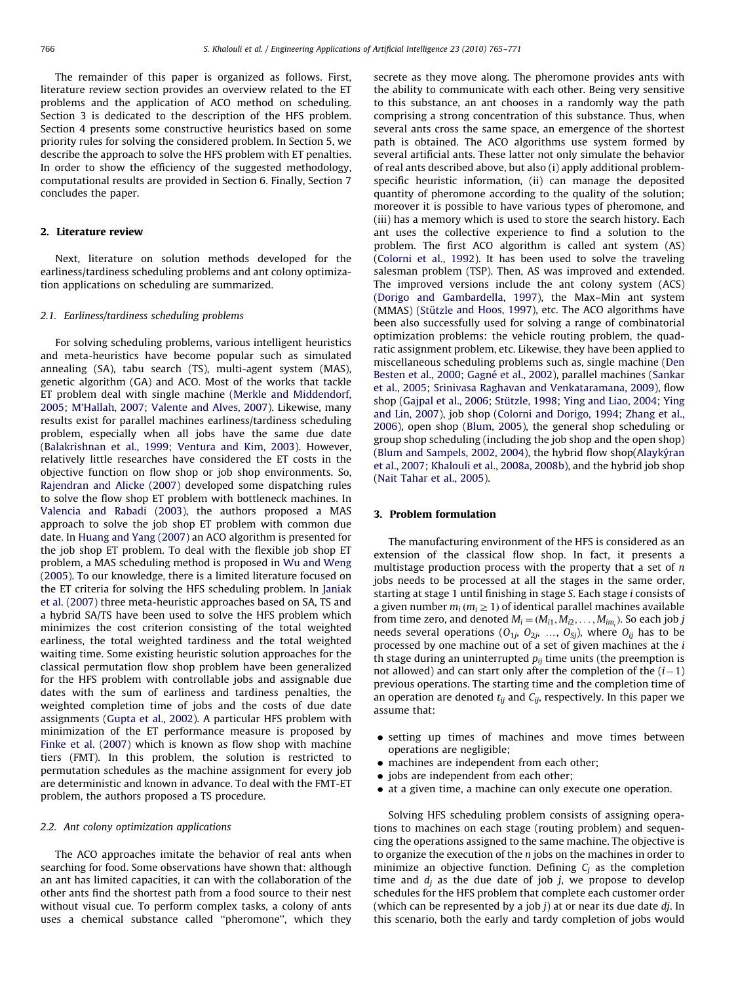The remainder of this paper is organized as follows. First, literature review section provides an overview related to the ET problems and the application of ACO method on scheduling. Section 3 is dedicated to the description of the HFS problem. Section 4 presents some constructive heuristics based on some priority rules for solving the considered problem. In Section 5, we describe the approach to solve the HFS problem with ET penalties. In order to show the efficiency of the suggested methodology, computational results are provided in Section 6. Finally, Section 7 concludes the paper.

#### 2. Literature review

Next, literature on solution methods developed for the earliness/tardiness scheduling problems and ant colony optimization applications on scheduling are summarized.

#### 2.1. Earliness/tardiness scheduling problems

For solving scheduling problems, various intelligent heuristics and meta-heuristics have become popular such as simulated annealing (SA), tabu search (TS), multi-agent system (MAS), genetic algorithm (GA) and ACO. Most of the works that tackle ET problem deal with single machine [\(Merkle and Middendorf,](#page--1-0) [2005;](#page--1-0) [M'Hallah, 2007](#page--1-0); [Valente and Alves, 2007](#page--1-0)). Likewise, many results exist for parallel machines earliness/tardiness scheduling problem, especially when all jobs have the same due date ([Balakrishnan et al., 1999](#page--1-0); [Ventura and Kim, 2003](#page--1-0)). However, relatively little researches have considered the ET costs in the objective function on flow shop or job shop environments. So, [Rajendran and Alicke \(2007\)](#page--1-0) developed some dispatching rules to solve the flow shop ET problem with bottleneck machines. In [Valencia and Rabadi \(2003\)](#page--1-0), the authors proposed a MAS approach to solve the job shop ET problem with common due date. In [Huang and Yang \(2007\)](#page--1-0) an ACO algorithm is presented for the job shop ET problem. To deal with the flexible job shop ET problem, a MAS scheduling method is proposed in [Wu and Weng](#page--1-0) [\(2005\)](#page--1-0). To our knowledge, there is a limited literature focused on the ET criteria for solving the HFS scheduling problem. In [Janiak](#page--1-0) [et al. \(2007\)](#page--1-0) three meta-heuristic approaches based on SA, TS and a hybrid SA/TS have been used to solve the HFS problem which minimizes the cost criterion consisting of the total weighted earliness, the total weighted tardiness and the total weighted waiting time. Some existing heuristic solution approaches for the classical permutation flow shop problem have been generalized for the HFS problem with controllable jobs and assignable due dates with the sum of earliness and tardiness penalties, the weighted completion time of jobs and the costs of due date assignments [\(Gupta et al., 2002](#page--1-0)). A particular HFS problem with minimization of the ET performance measure is proposed by [Finke et al. \(2007\)](#page--1-0) which is known as flow shop with machine tiers (FMT). In this problem, the solution is restricted to permutation schedules as the machine assignment for every job are deterministic and known in advance. To deal with the FMT-ET problem, the authors proposed a TS procedure.

#### 2.2. Ant colony optimization applications

The ACO approaches imitate the behavior of real ants when searching for food. Some observations have shown that: although an ant has limited capacities, it can with the collaboration of the other ants find the shortest path from a food source to their nest without visual cue. To perform complex tasks, a colony of ants uses a chemical substance called ''pheromone'', which they secrete as they move along. The pheromone provides ants with the ability to communicate with each other. Being very sensitive to this substance, an ant chooses in a randomly way the path comprising a strong concentration of this substance. Thus, when several ants cross the same space, an emergence of the shortest path is obtained. The ACO algorithms use system formed by several artificial ants. These latter not only simulate the behavior of real ants described above, but also (i) apply additional problemspecific heuristic information, (ii) can manage the deposited quantity of pheromone according to the quality of the solution; moreover it is possible to have various types of pheromone, and (iii) has a memory which is used to store the search history. Each ant uses the collective experience to find a solution to the problem. The first ACO algorithm is called ant system (AS) ([Colorni et al., 1992](#page--1-0)). It has been used to solve the traveling salesman problem (TSP). Then, AS was improved and extended. The improved versions include the ant colony system (ACS) ([Dorigo and Gambardella, 1997\)](#page--1-0), the Max–Min ant system (MMAS) (Stützle [and Hoos, 1997\)](#page--1-0), etc. The ACO algorithms have been also successfully used for solving a range of combinatorial optimization problems: the vehicle routing problem, the quadratic assignment problem, etc. Likewise, they have been applied to miscellaneous scheduling problems such as, single machine ([Den](#page--1-0) [Besten et al., 2000;](#page--1-0) Gagné [et al., 2002](#page--1-0)), parallel machines ([Sankar](#page--1-0) [et al., 2005;](#page--1-0) [Srinivasa Raghavan and Venkataramana, 2009](#page--1-0)), flow shop [\(Gajpal et al., 2006](#page--1-0); Stützle, 1998; [Ying and Liao, 2004](#page--1-0); [Ying](#page--1-0) [and Lin, 2007\)](#page--1-0), job shop ([Colorni and Dorigo, 1994](#page--1-0); [Zhang et al.,](#page--1-0) [2006\)](#page--1-0), open shop ([Blum, 2005\)](#page--1-0), the general shop scheduling or group shop scheduling (including the job shop and the open shop) ([Blum and Sampels, 2002, 2004](#page--1-0)), the hybrid flow shop(Alaykýran [et al., 2007; Khalouli et al., 2008a, 2008b](#page--1-0)), and the hybrid job shop ([Nait Tahar et al., 2005\)](#page--1-0).

### 3. Problem formulation

The manufacturing environment of the HFS is considered as an extension of the classical flow shop. In fact, it presents a multistage production process with the property that a set of  $n$ jobs needs to be processed at all the stages in the same order, starting at stage 1 until finishing in stage S. Each stage i consists of a given number  $m_i$  ( $m_i \geq 1$ ) of identical parallel machines available from time zero, and denoted  $M_i = (M_{i1}, M_{i2}, \ldots, M_{im_i})$ . So each job j needs several operations  $(O_{1j}, O_{2j}, ..., O_{Sj})$ , where  $O_{ij}$  has to be processed by one machine out of a set of given machines at the  $i$ th stage during an uninterrupted  $p_{ij}$  time units (the preemption is not allowed) and can start only after the completion of the  $(i-1)$ previous operations. The starting time and the completion time of an operation are denoted  $t_{ij}$  and  $C_{ij}$ , respectively. In this paper we assume that:

- setting up times of machines and move times between operations are negligible;
- machines are independent from each other;
- jobs are independent from each other;
- at a given time, a machine can only execute one operation.

Solving HFS scheduling problem consists of assigning operations to machines on each stage (routing problem) and sequencing the operations assigned to the same machine. The objective is to organize the execution of the n jobs on the machines in order to minimize an objective function. Defining  $C_i$  as the completion time and  $d_i$  as the due date of job j, we propose to develop schedules for the HFS problem that complete each customer order (which can be represented by a job  $j$ ) at or near its due date  $dj$ . In this scenario, both the early and tardy completion of jobs would